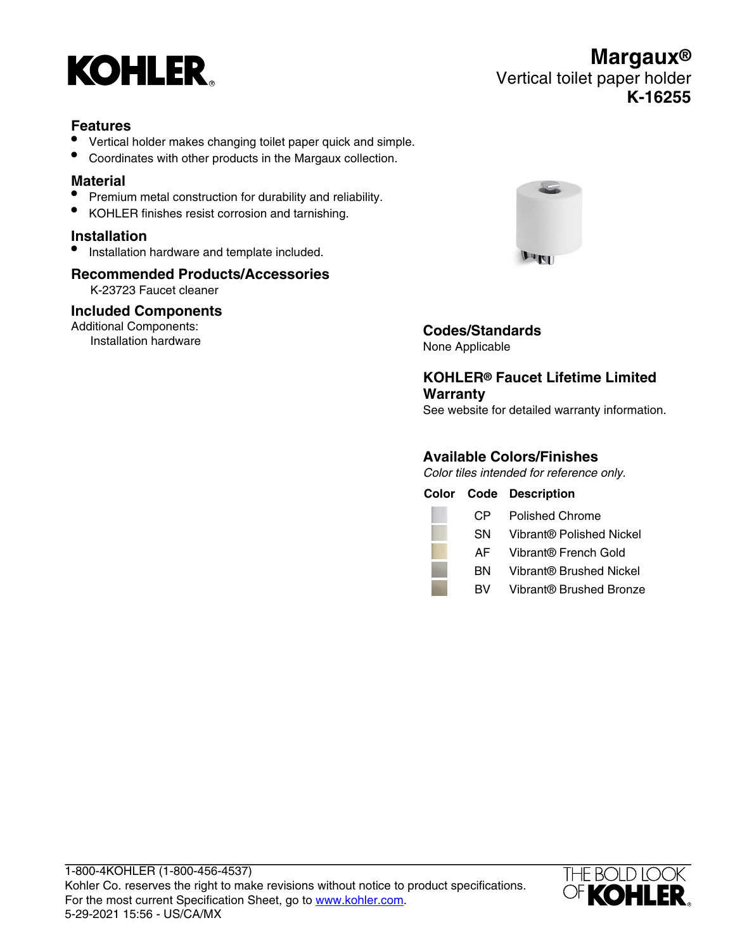

### **Features**

- Vertical holder makes changing toilet paper quick and simple.
- Coordinates with other products in the Margaux collection.

### **Material**

- Premium metal construction for durability and reliability.
- KOHLER finishes resist corrosion and tarnishing.

#### **Installation**

• Installation hardware and template included.

### **Recommended Products/Accessories**

K-23723 Faucet cleaner

# **Included Components**

Additional Components: Installation hardware



# **Codes/Standards**

None Applicable

# **KOHLER® Faucet Lifetime Limited Warranty**

See website for detailed warranty information.

# **Available Colors/Finishes**

Color tiles intended for reference only.

|     | <b>Color Code Description</b> |
|-----|-------------------------------|
| CP. | Polished Chrome               |
| SN  | Vibrant® Polished Nickel      |
| AF. | Vibrant® French Gold          |
| вN  | Vibrant® Brushed Nickel       |
| BV. | Vibrant® Brushed Bronze       |